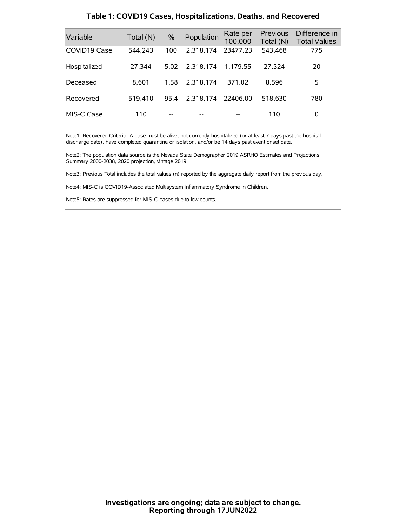| Variable     | Total (N) | $\%$ | Population | Rate per<br>100,000 | Previous<br>Total (N) | Difference in<br><b>Total Values</b> |
|--------------|-----------|------|------------|---------------------|-----------------------|--------------------------------------|
| COVID19 Case | 544.243   | 100  | 2.318.174  | 23477.23            | 543,468               | 775                                  |
| Hospitalized | 27,344    | 5.02 | 2.318.174  | 1.179.55            | 27,324                | 20                                   |
| Deceased     | 8.601     | 1.58 | 2.318.174  | 371.02              | 8.596                 | 5                                    |
| Recovered    | 519.410   | 95.4 | 2.318.174  | 22406.00            | 518.630               | 780                                  |
| MIS-C Case   | 110       | --   |            |                     | 110                   | 0                                    |

#### **Table 1: COVID19 Cases, Hospitalizations, Deaths, and Recovered**

Note1: Recovered Criteria: A case must be alive, not currently hospitalized (or at least 7 days past the hospital discharge date), have completed quarantine or isolation, and/or be 14 days past event onset date.

Note2: The population data source is the Nevada State Demographer 2019 ASRHO Estimates and Projections Summary 2000-2038, 2020 projection, vintage 2019.

Note3: Previous Total includes the total values (n) reported by the aggregate daily report from the previous day.

Note4: MIS-C is COVID19-Associated Multisystem Inflammatory Syndrome in Children.

Note5: Rates are suppressed for MIS-C cases due to low counts.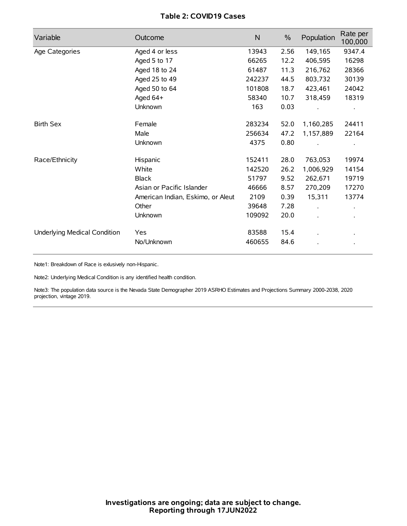# **Table 2: COVID19 Cases**

| Variable                     | Outcome                           | $\mathsf{N}$ | $\%$ | Population | Rate per<br>100,000  |
|------------------------------|-----------------------------------|--------------|------|------------|----------------------|
| Age Categories               | Aged 4 or less                    | 13943        | 2.56 | 149,165    | 9347.4               |
|                              | Aged 5 to 17                      | 66265        | 12.2 | 406,595    | 16298                |
|                              | Aged 18 to 24                     | 61487        | 11.3 | 216,762    | 28366                |
|                              | Aged 25 to 49                     | 242237       | 44.5 | 803,732    | 30139                |
|                              | Aged 50 to 64                     | 101808       | 18.7 | 423,461    | 24042                |
|                              | Aged 64+                          | 58340        | 10.7 | 318,459    | 18319                |
|                              | Unknown                           | 163          | 0.03 |            |                      |
| <b>Birth Sex</b>             | Female                            | 283234       | 52.0 | 1,160,285  | 24411                |
|                              | Male                              | 256634       | 47.2 | 1,157,889  | 22164                |
|                              | Unknown                           | 4375         | 0.80 |            |                      |
| Race/Ethnicity               | Hispanic                          | 152411       | 28.0 | 763,053    | 19974                |
|                              | White                             | 142520       | 26.2 | 1,006,929  | 14154                |
|                              | <b>Black</b>                      | 51797        | 9.52 | 262,671    | 19719                |
|                              | Asian or Pacific Islander         | 46666        | 8.57 | 270,209    | 17270                |
|                              | American Indian, Eskimo, or Aleut | 2109         | 0.39 | 15,311     | 13774                |
|                              | Other                             | 39648        | 7.28 |            | $\ddot{\phantom{0}}$ |
|                              | Unknown                           | 109092       | 20.0 |            |                      |
| Underlying Medical Condition | Yes                               | 83588        | 15.4 |            |                      |
|                              | No/Unknown                        | 460655       | 84.6 |            |                      |

Note1: Breakdown of Race is exlusively non-Hispanic.

Note2: Underlying Medical Condition is any identified health condition.

Note3: The population data source is the Nevada State Demographer 2019 ASRHO Estimates and Projections Summary 2000-2038, 2020 projection, vintage 2019.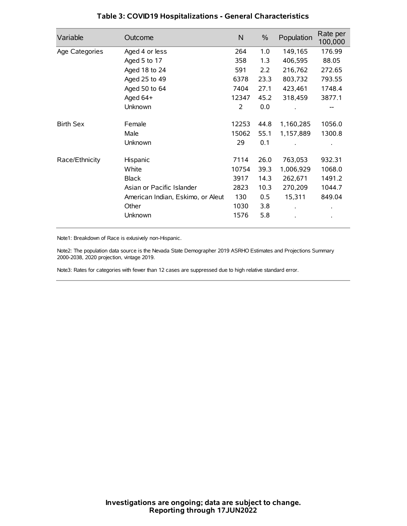| Variable         | Outcome                           | $\mathsf{N}$ | $\%$ | Population | Rate per<br>100,000 |
|------------------|-----------------------------------|--------------|------|------------|---------------------|
| Age Categories   | Aged 4 or less                    | 264          | 1.0  | 149,165    | 176.99              |
|                  | Aged 5 to 17                      | 358          | 1.3  | 406,595    | 88.05               |
|                  | Aged 18 to 24                     | 591          | 2.2  | 216,762    | 272.65              |
|                  | Aged 25 to 49                     | 6378         | 23.3 | 803,732    | 793.55              |
|                  | Aged 50 to 64                     | 7404         | 27.1 | 423,461    | 1748.4              |
|                  | Aged 64+                          | 12347        | 45.2 | 318,459    | 3877.1              |
|                  | Unknown                           | 2            | 0.0  |            |                     |
| <b>Birth Sex</b> | Female                            | 12253        | 44.8 | 1,160,285  | 1056.0              |
|                  | Male                              | 15062        | 55.1 | 1,157,889  | 1300.8              |
|                  | Unknown                           | 29           | 0.1  |            |                     |
| Race/Ethnicity   | Hispanic                          | 7114         | 26.0 | 763,053    | 932.31              |
|                  | White                             | 10754        | 39.3 | 1,006,929  | 1068.0              |
|                  | <b>Black</b>                      | 3917         | 14.3 | 262,671    | 1491.2              |
|                  | Asian or Pacific Islander         | 2823         | 10.3 | 270,209    | 1044.7              |
|                  | American Indian, Eskimo, or Aleut | 130          | 0.5  | 15,311     | 849.04              |
|                  | Other                             | 1030         | 3.8  |            |                     |
|                  | Unknown                           | 1576         | 5.8  |            |                     |

# **Table 3: COVID19 Hospitalizations - General Characteristics**

Note1: Breakdown of Race is exlusively non-Hispanic.

Note2: The population data source is the Nevada State Demographer 2019 ASRHO Estimates and Projections Summary 2000-2038, 2020 projection, vintage 2019.

Note3: Rates for categories with fewer than 12 cases are suppressed due to high relative standard error.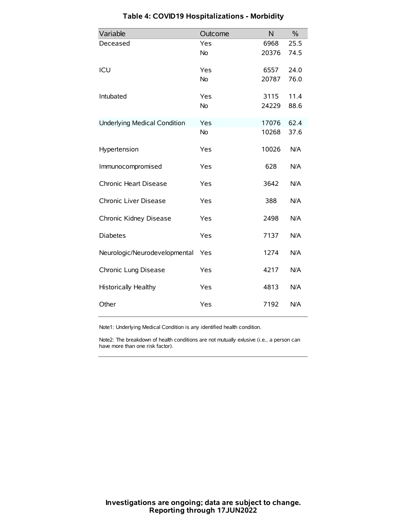| Variable                            | Outcome   | N     | $\frac{0}{0}$ |
|-------------------------------------|-----------|-------|---------------|
| Deceased                            | Yes       | 6968  | 25.5          |
|                                     | No        | 20376 | 74.5          |
| ICU                                 | Yes       | 6557  | 24.0          |
|                                     | <b>No</b> | 20787 | 76.0          |
| Intubated                           | Yes       | 3115  | 11.4          |
|                                     | No        | 24229 | 88.6          |
| <b>Underlying Medical Condition</b> | Yes       | 17076 | 62.4          |
|                                     | <b>No</b> | 10268 | 37.6          |
| Hypertension                        | Yes       | 10026 | N/A           |
| Immunocompromised                   | Yes       | 628   | N/A           |
| Chronic Heart Disease               | Yes       | 3642  | N/A           |
| Chronic Liver Disease               | Yes       | 388   | N/A           |
| Chronic Kidney Disease              | Yes       | 2498  | N/A           |
| <b>Diabetes</b>                     | Yes       | 7137  | N/A           |
| Neurologic/Neurodevelopmental       | Yes       | 1274  | N/A           |
| Chronic Lung Disease                | Yes       | 4217  | N/A           |
| <b>Historically Healthy</b>         | Yes       | 4813  | N/A           |
| Other                               | Yes       | 7192  | N/A           |

# **Table 4: COVID19 Hospitalizations - Morbidity**

Note1: Underlying Medical Condition is any identified health condition.

Note2: The breakdown of health conditions are not mutually exlusive (i.e., a person can have more than one risk factor).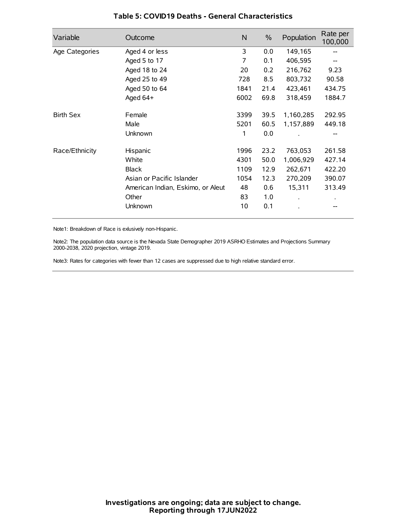| Variable         | Outcome                           | N    | $\%$ | Population | Rate per<br>100,000 |
|------------------|-----------------------------------|------|------|------------|---------------------|
| Age Categories   | Aged 4 or less                    | 3    | 0.0  | 149,165    |                     |
|                  | Aged 5 to 17                      | 7    | 0.1  | 406,595    |                     |
|                  | Aged 18 to 24                     | 20   | 0.2  | 216,762    | 9.23                |
|                  | Aged 25 to 49                     | 728  | 8.5  | 803,732    | 90.58               |
|                  | Aged 50 to 64                     | 1841 | 21.4 | 423,461    | 434.75              |
|                  | Aged 64+                          | 6002 | 69.8 | 318,459    | 1884.7              |
| <b>Birth Sex</b> | Female                            | 3399 | 39.5 | 1,160,285  | 292.95              |
|                  | Male                              | 5201 | 60.5 | 1,157,889  | 449.18              |
|                  | Unknown                           | 1    | 0.0  |            | --                  |
| Race/Ethnicity   | Hispanic                          | 1996 | 23.2 | 763,053    | 261.58              |
|                  | White                             | 4301 | 50.0 | 1,006,929  | 427.14              |
|                  | <b>Black</b>                      | 1109 | 12.9 | 262,671    | 422.20              |
|                  | Asian or Pacific Islander         | 1054 | 12.3 | 270,209    | 390.07              |
|                  | American Indian, Eskimo, or Aleut | 48   | 0.6  | 15,311     | 313.49              |
|                  | Other                             | 83   | 1.0  |            |                     |
|                  | Unknown                           | 10   | 0.1  |            |                     |

### **Table 5: COVID19 Deaths - General Characteristics**

Note1: Breakdown of Race is exlusively non-Hispanic.

Note2: The population data source is the Nevada State Demographer 2019 ASRHO Estimates and Projections Summary 2000-2038, 2020 projection, vintage 2019.

Note3: Rates for categories with fewer than 12 cases are suppressed due to high relative standard error.